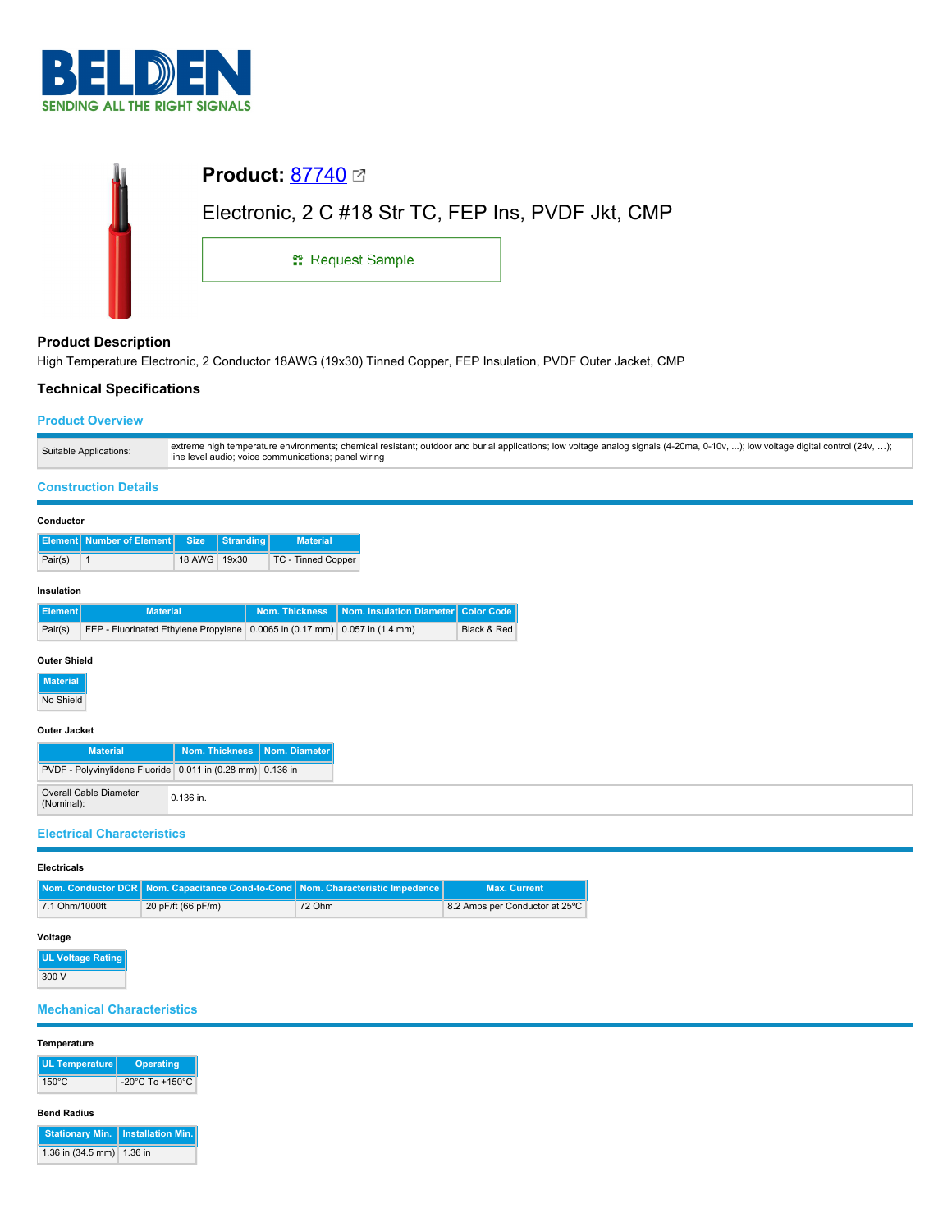

| <b>Product: 87740</b> ⊠                            |  |  |  |
|----------------------------------------------------|--|--|--|
| Electronic, 2 C #18 Str TC, FEP Ins, PVDF Jkt, CMP |  |  |  |
| <b>: Request Sample</b>                            |  |  |  |
|                                                    |  |  |  |

# **Product Description**

High Temperature Electronic, 2 Conductor 18AWG (19x30) Tinned Copper, FEP Insulation, PVDF Outer Jacket, CMP

## **Technical Specifications**

## **Product Overview**

| Suitable Applications:                                     |                       | line level audio; voice communications; panel wiring                           |                          | extreme high temperature environments; chemical resistant; outdoor and burial applications; low voltage analog signals (4-20ma, 0-10v, ); low voltage digital control (24v, ); |  |
|------------------------------------------------------------|-----------------------|--------------------------------------------------------------------------------|--------------------------|--------------------------------------------------------------------------------------------------------------------------------------------------------------------------------|--|
| <b>Construction Details</b>                                |                       |                                                                                |                          |                                                                                                                                                                                |  |
| Conductor                                                  |                       |                                                                                |                          |                                                                                                                                                                                |  |
| Number of Element<br><b>Element</b>                        | <b>Size</b>           | <b>Stranding</b><br><b>Material</b>                                            |                          |                                                                                                                                                                                |  |
| Pair(s)<br>$\vert$ 1                                       | 18 AWG 19x30          | TC - Tinned Copper                                                             |                          |                                                                                                                                                                                |  |
| Insulation                                                 |                       |                                                                                |                          |                                                                                                                                                                                |  |
| <b>Element</b>                                             | <b>Material</b>       | <b>Nom. Thickness</b>                                                          | Nom. Insulation Diameter | Color Code                                                                                                                                                                     |  |
| Pair(s)                                                    |                       | FEP - Fluorinated Ethylene Propylene   0.0065 in (0.17 mm)   0.057 in (1.4 mm) |                          | Black & Red                                                                                                                                                                    |  |
| <b>Outer Shield</b>                                        |                       |                                                                                |                          |                                                                                                                                                                                |  |
| <b>Material</b>                                            |                       |                                                                                |                          |                                                                                                                                                                                |  |
| No Shield                                                  |                       |                                                                                |                          |                                                                                                                                                                                |  |
| <b>Outer Jacket</b>                                        |                       |                                                                                |                          |                                                                                                                                                                                |  |
| <b>Material</b>                                            | <b>Nom. Thickness</b> | Nom. Diameter                                                                  |                          |                                                                                                                                                                                |  |
| PVDF - Polyvinylidene Fluoride 0.011 in (0.28 mm) 0.136 in |                       |                                                                                |                          |                                                                                                                                                                                |  |
| <b>Overall Cable Diameter</b><br>(Nominal):                | 0.136 in.             |                                                                                |                          |                                                                                                                                                                                |  |
| <b>Electrical Characteristics</b>                          |                       |                                                                                |                          |                                                                                                                                                                                |  |

#### **Electricals**

|                | Nom. Conductor DCR Nom. Capacitance Cond-to-Cond Nom. Characteristic Impedence |        | <b>Max. Current</b>            |
|----------------|--------------------------------------------------------------------------------|--------|--------------------------------|
| 7.1 Ohm/1000ft | 20 pF/ft (66 pF/m)                                                             | 72 Ohm | 8.2 Amps per Conductor at 25°C |

# **Voltage**

**UL Voltage Rating** 300 V

## **Mechanical Characteristics**

#### **Temperature**

| UL Temperature  | <b>Operating</b>                    |
|-----------------|-------------------------------------|
| $150^{\circ}$ C | $-20^{\circ}$ C To $+150^{\circ}$ C |

#### **Bend Radius**

| Stationary Min.   Installation Min. |  |
|-------------------------------------|--|
| 1.36 in (34.5 mm) 1.36 in           |  |